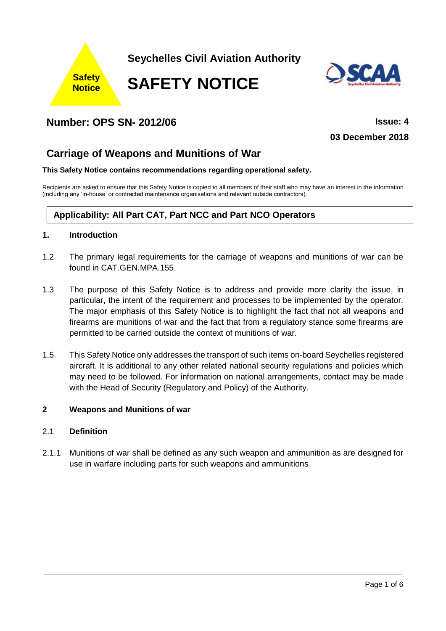

# **Number: OPS SN- 2012/06 Issue: 4**

**03 December 2018**

# **Carriage of Weapons and Munitions of War**

#### **This Safety Notice contains recommendations regarding operational safety.**

Recipients are asked to ensure that this Safety Notice is copied to all members of their staff who may have an interest in the information (including any 'in-house' or contracted maintenance organisations and relevant outside contractors).

## **Applicability: All Part CAT, Part NCC and Part NCO Operators**

## **1. Introduction**

- 1.2 The primary legal requirements for the carriage of weapons and munitions of war can be found in CAT.GEN.MPA.155.
- 1.3 The purpose of this Safety Notice is to address and provide more clarity the issue, in particular, the intent of the requirement and processes to be implemented by the operator. The major emphasis of this Safety Notice is to highlight the fact that not all weapons and firearms are munitions of war and the fact that from a regulatory stance some firearms are permitted to be carried outside the context of munitions of war.
- 1.5 This Safety Notice only addresses the transport of such items on-board Seychelles registered aircraft. It is additional to any other related national security regulations and policies which may need to be followed. For information on national arrangements, contact may be made with the Head of Security (Regulatory and Policy) of the Authority.

### **2 Weapons and Munitions of war**

## 2.1 **Definition**

2.1.1 Munitions of war shall be defined as any such weapon and ammunition as are designed for use in warfare including parts for such weapons and ammunitions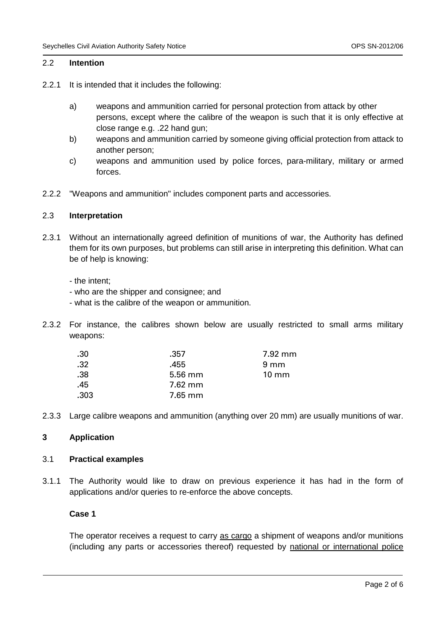## 2.2 **Intention**

- 2.2.1 It is intended that it includes the following:
	- a) weapons and ammunition carried for personal protection from attack by other persons, except where the calibre of the weapon is such that it is only effective at close range e.g. .22 hand gun;
	- b) weapons and ammunition carried by someone giving official protection from attack to another person;
	- c) weapons and ammunition used by police forces, para-military, military or armed forces.
- 2.2.2 "Weapons and ammunition" includes component parts and accessories.

#### 2.3 **Interpretation**

- 2.3.1 Without an internationally agreed definition of munitions of war, the Authority has defined them for its own purposes, but problems can still arise in interpreting this definition. What can be of help is knowing:
	- the intent;
	- who are the shipper and consignee; and
	- what is the calibre of the weapon or ammunition.
- 2.3.2 For instance, the calibres shown below are usually restricted to small arms military weapons:

| .30  | .357      | 7.92 mm         |
|------|-----------|-----------------|
| .32  | .455      | $9 \text{ mm}$  |
| .38  | $5.56$ mm | $10 \text{ mm}$ |
| .45  | 7.62 mm   |                 |
| .303 | $7.65$ mm |                 |
|      |           |                 |

2.3.3 Large calibre weapons and ammunition (anything over 20 mm) are usually munitions of war.

### **3 Application**

#### 3.1 **Practical examples**

3.1.1 The Authority would like to draw on previous experience it has had in the form of applications and/or queries to re-enforce the above concepts.

## **Case 1**

The operator receives a request to carry as cargo a shipment of weapons and/or munitions (including any parts or accessories thereof) requested by national or international police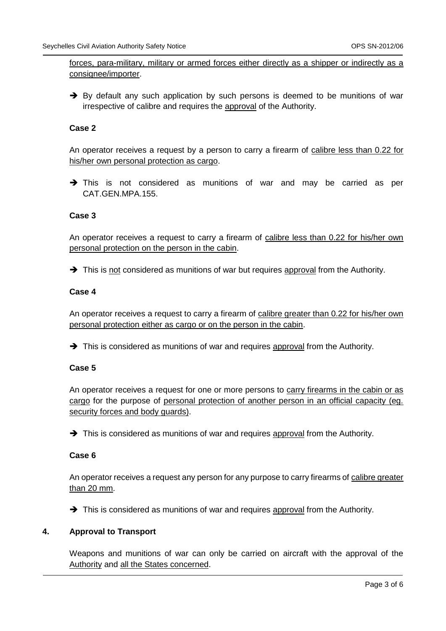forces, para-military, military or armed forces either directly as a shipper or indirectly as a consignee/importer.

 $\rightarrow$  By default any such application by such persons is deemed to be munitions of war irrespective of calibre and requires the approval of the Authority.

## **Case 2**

An operator receives a request by a person to carry a firearm of calibre less than 0.22 for his/her own personal protection as cargo.

→ This is not considered as munitions of war and may be carried as per CAT.GEN.MPA.155.

### **Case 3**

An operator receives a request to carry a firearm of calibre less than 0.22 for his/her own personal protection on the person in the cabin.

→ This is not considered as munitions of war but requires approval from the Authority.

### **Case 4**

An operator receives a request to carry a firearm of calibre greater than 0.22 for his/her own personal protection either as cargo or on the person in the cabin.

→ This is considered as munitions of war and requires approval from the Authority.

## **Case 5**

An operator receives a request for one or more persons to carry firearms in the cabin or as cargo for the purpose of personal protection of another person in an official capacity (eg. security forces and body guards).

→ This is considered as munitions of war and requires approval from the Authority.

#### **Case 6**

An operator receives a request any person for any purpose to carry firearms of calibre greater than 20 mm.

→ This is considered as munitions of war and requires approval from the Authority.

## **4. Approval to Transport**

Weapons and munitions of war can only be carried on aircraft with the approval of the Authority and all the States concerned.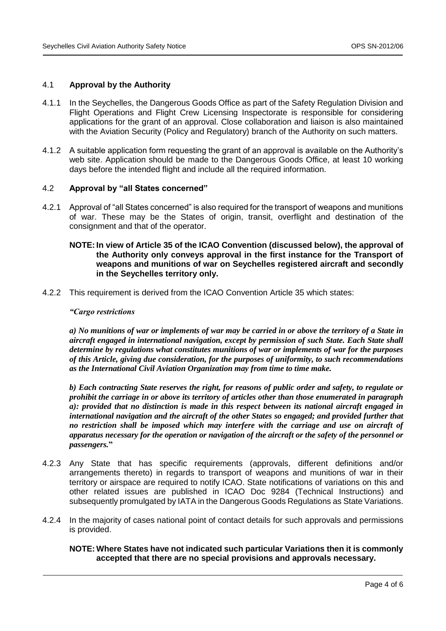#### 4.1 **Approval by the Authority**

- 4.1.1 In the Seychelles, the Dangerous Goods Office as part of the Safety Regulation Division and Flight Operations and Flight Crew Licensing Inspectorate is responsible for considering applications for the grant of an approval. Close collaboration and liaison is also maintained with the Aviation Security (Policy and Regulatory) branch of the Authority on such matters.
- 4.1.2 A suitable application form requesting the grant of an approval is available on the Authority's web site. Application should be made to the Dangerous Goods Office, at least 10 working days before the intended flight and include all the required information.

#### 4.2 **Approval by "all States concerned"**

4.2.1 Approval of "all States concerned" is also required for the transport of weapons and munitions of war. These may be the States of origin, transit, overflight and destination of the consignment and that of the operator.

#### **NOTE: In view of Article 35 of the ICAO Convention (discussed below), the approval of the Authority only conveys approval in the first instance for the Transport of weapons and munitions of war on Seychelles registered aircraft and secondly in the Seychelles territory only.**

4.2.2 This requirement is derived from the ICAO Convention Article 35 which states:

#### *"Cargo restrictions*

*a) No munitions of war or implements of war may be carried in or above the territory of a State in aircraft engaged in international navigation, except by permission of such State. Each State shall determine by regulations what constitutes munitions of war or implements of war for the purposes of this Article, giving due consideration, for the purposes of uniformity, to such recommendations as the International Civil Aviation Organization may from time to time make.*

*b) Each contracting State reserves the right, for reasons of public order and safety, to regulate or prohibit the carriage in or above its territory of articles other than those enumerated in paragraph a): provided that no distinction is made in this respect between its national aircraft engaged in international navigation and the aircraft of the other States so engaged; and provided further that no restriction shall be imposed which may interfere with the carriage and use on aircraft of apparatus necessary for the operation or navigation of the aircraft or the safety of the personnel or passengers.***"**

- 4.2.3 Any State that has specific requirements (approvals, different definitions and/or arrangements thereto) in regards to transport of weapons and munitions of war in their territory or airspace are required to notify ICAO. State notifications of variations on this and other related issues are published in ICAO Doc 9284 (Technical Instructions) and subsequently promulgated by IATA in the Dangerous Goods Regulations as State Variations.
- 4.2.4 In the majority of cases national point of contact details for such approvals and permissions is provided.

**NOTE: Where States have not indicated such particular Variations then it is commonly accepted that there are no special provisions and approvals necessary.**